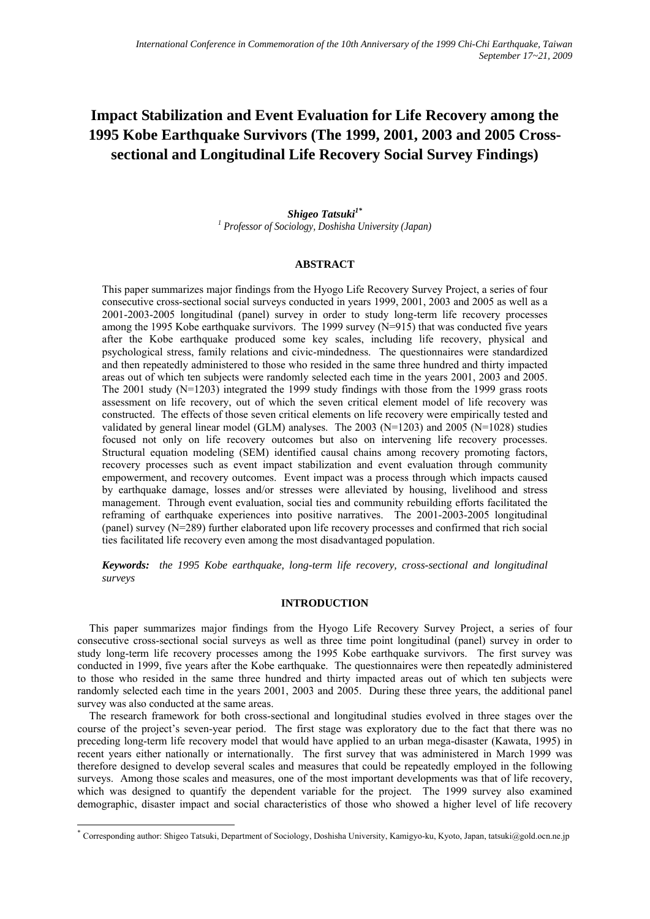# **Impact Stabilization and Event Evaluation for Life Recovery among the 1995 Kobe Earthquake Survivors (The 1999, 2001, 2003 and 2005 Crosssectional and Longitudinal Life Recovery Social Survey Findings)**

*Shigeo Tatsuki1\* 1 Professor of Sociology, Doshisha University (Japan)* 

## **ABSTRACT**

This paper summarizes major findings from the Hyogo Life Recovery Survey Project, a series of four consecutive cross-sectional social surveys conducted in years 1999, 2001, 2003 and 2005 as well as a 2001-2003-2005 longitudinal (panel) survey in order to study long-term life recovery processes among the 1995 Kobe earthquake survivors. The 1999 survey (N=915) that was conducted five years after the Kobe earthquake produced some key scales, including life recovery, physical and psychological stress, family relations and civic-mindedness. The questionnaires were standardized and then repeatedly administered to those who resided in the same three hundred and thirty impacted areas out of which ten subjects were randomly selected each time in the years 2001, 2003 and 2005. The 2001 study  $(N=1203)$  integrated the 1999 study findings with those from the 1999 grass roots assessment on life recovery, out of which the seven critical element model of life recovery was constructed. The effects of those seven critical elements on life recovery were empirically tested and validated by general linear model (GLM) analyses. The 2003 (N=1203) and 2005 (N=1028) studies focused not only on life recovery outcomes but also on intervening life recovery processes. Structural equation modeling (SEM) identified causal chains among recovery promoting factors, recovery processes such as event impact stabilization and event evaluation through community empowerment, and recovery outcomes. Event impact was a process through which impacts caused by earthquake damage, losses and/or stresses were alleviated by housing, livelihood and stress management. Through event evaluation, social ties and community rebuilding efforts facilitated the reframing of earthquake experiences into positive narratives. The 2001-2003-2005 longitudinal (panel) survey (N=289) further elaborated upon life recovery processes and confirmed that rich social ties facilitated life recovery even among the most disadvantaged population.

*Keywords: the 1995 Kobe earthquake, long-term life recovery, cross-sectional and longitudinal surveys*

# **INTRODUCTION**

This paper summarizes major findings from the Hyogo Life Recovery Survey Project, a series of four consecutive cross-sectional social surveys as well as three time point longitudinal (panel) survey in order to study long-term life recovery processes among the 1995 Kobe earthquake survivors. The first survey was conducted in 1999, five years after the Kobe earthquake. The questionnaires were then repeatedly administered to those who resided in the same three hundred and thirty impacted areas out of which ten subjects were randomly selected each time in the years 2001, 2003 and 2005. During these three years, the additional panel survey was also conducted at the same areas.

The research framework for both cross-sectional and longitudinal studies evolved in three stages over the course of the project's seven-year period. The first stage was exploratory due to the fact that there was no preceding long-term life recovery model that would have applied to an urban mega-disaster (Kawata, 1995) in recent years either nationally or internationally. The first survey that was administered in March 1999 was therefore designed to develop several scales and measures that could be repeatedly employed in the following surveys. Among those scales and measures, one of the most important developments was that of life recovery, which was designed to quantify the dependent variable for the project. The 1999 survey also examined demographic, disaster impact and social characteristics of those who showed a higher level of life recovery

-

<sup>\*</sup> Corresponding author: Shigeo Tatsuki, Department of Sociology, Doshisha University, Kamigyo-ku, Kyoto, Japan, tatsuki@gold.ocn.ne.jp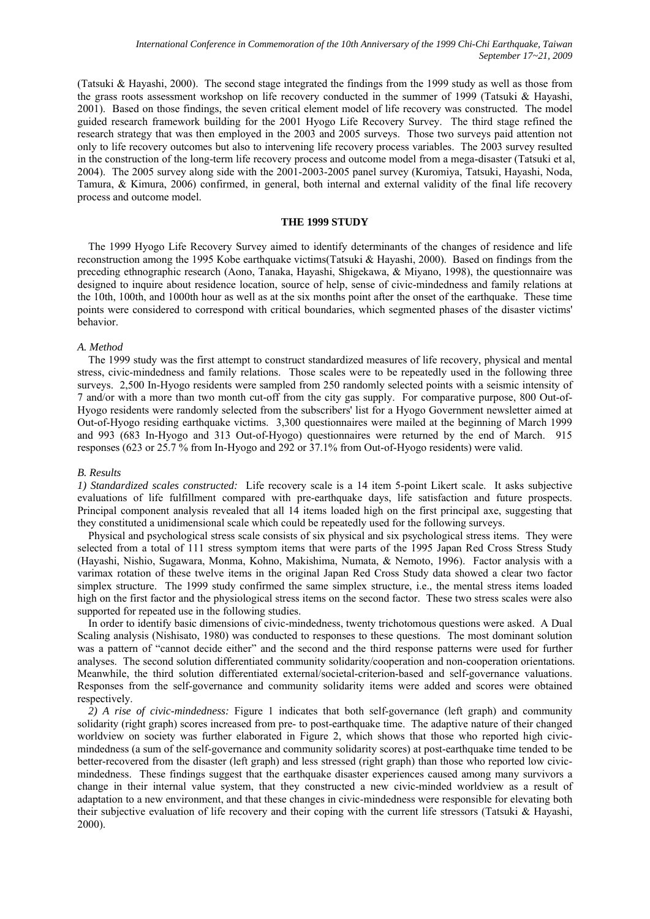(Tatsuki & Hayashi, 2000). The second stage integrated the findings from the 1999 study as well as those from the grass roots assessment workshop on life recovery conducted in the summer of 1999 (Tatsuki & Hayashi, 2001). Based on those findings, the seven critical element model of life recovery was constructed. The model guided research framework building for the 2001 Hyogo Life Recovery Survey. The third stage refined the research strategy that was then employed in the 2003 and 2005 surveys. Those two surveys paid attention not only to life recovery outcomes but also to intervening life recovery process variables. The 2003 survey resulted in the construction of the long-term life recovery process and outcome model from a mega-disaster (Tatsuki et al, 2004). The 2005 survey along side with the 2001-2003-2005 panel survey (Kuromiya, Tatsuki, Hayashi, Noda, Tamura, & Kimura, 2006) confirmed, in general, both internal and external validity of the final life recovery process and outcome model.

# **THE 1999 STUDY**

The 1999 Hyogo Life Recovery Survey aimed to identify determinants of the changes of residence and life reconstruction among the 1995 Kobe earthquake victims(Tatsuki & Hayashi, 2000). Based on findings from the preceding ethnographic research (Aono, Tanaka, Hayashi, Shigekawa, & Miyano, 1998), the questionnaire was designed to inquire about residence location, source of help, sense of civic-mindedness and family relations at the 10th, 100th, and 1000th hour as well as at the six months point after the onset of the earthquake. These time points were considered to correspond with critical boundaries, which segmented phases of the disaster victims' behavior.

## *A. Method*

The 1999 study was the first attempt to construct standardized measures of life recovery, physical and mental stress, civic-mindedness and family relations. Those scales were to be repeatedly used in the following three surveys. 2,500 In-Hyogo residents were sampled from 250 randomly selected points with a seismic intensity of 7 and/or with a more than two month cut-off from the city gas supply. For comparative purpose, 800 Out-of-Hyogo residents were randomly selected from the subscribers' list for a Hyogo Government newsletter aimed at Out-of-Hyogo residing earthquake victims. 3,300 questionnaires were mailed at the beginning of March 1999 and 993 (683 In-Hyogo and 313 Out-of-Hyogo) questionnaires were returned by the end of March. 915 responses (623 or 25.7 % from In-Hyogo and 292 or 37.1% from Out-of-Hyogo residents) were valid.

## *B. Results*

*1) Standardized scales constructed:* Life recovery scale is a 14 item 5-point Likert scale. It asks subjective evaluations of life fulfillment compared with pre-earthquake days, life satisfaction and future prospects. Principal component analysis revealed that all 14 items loaded high on the first principal axe, suggesting that they constituted a unidimensional scale which could be repeatedly used for the following surveys.

Physical and psychological stress scale consists of six physical and six psychological stress items. They were selected from a total of 111 stress symptom items that were parts of the 1995 Japan Red Cross Stress Study (Hayashi, Nishio, Sugawara, Monma, Kohno, Makishima, Numata, & Nemoto, 1996). Factor analysis with a varimax rotation of these twelve items in the original Japan Red Cross Study data showed a clear two factor simplex structure. The 1999 study confirmed the same simplex structure, i.e., the mental stress items loaded high on the first factor and the physiological stress items on the second factor. These two stress scales were also supported for repeated use in the following studies.

In order to identify basic dimensions of civic-mindedness, twenty trichotomous questions were asked. A Dual Scaling analysis (Nishisato, 1980) was conducted to responses to these questions. The most dominant solution was a pattern of "cannot decide either" and the second and the third response patterns were used for further analyses. The second solution differentiated community solidarity/cooperation and non-cooperation orientations. Meanwhile, the third solution differentiated external/societal-criterion-based and self-governance valuations. Responses from the self-governance and community solidarity items were added and scores were obtained respectively.

*2) A rise of civic-mindedness:* Figure 1 indicates that both self-governance (left graph) and community solidarity (right graph) scores increased from pre- to post-earthquake time. The adaptive nature of their changed worldview on society was further elaborated in Figure 2, which shows that those who reported high civicmindedness (a sum of the self-governance and community solidarity scores) at post-earthquake time tended to be better-recovered from the disaster (left graph) and less stressed (right graph) than those who reported low civicmindedness. These findings suggest that the earthquake disaster experiences caused among many survivors a change in their internal value system, that they constructed a new civic-minded worldview as a result of adaptation to a new environment, and that these changes in civic-mindedness were responsible for elevating both their subjective evaluation of life recovery and their coping with the current life stressors (Tatsuki & Hayashi, 2000).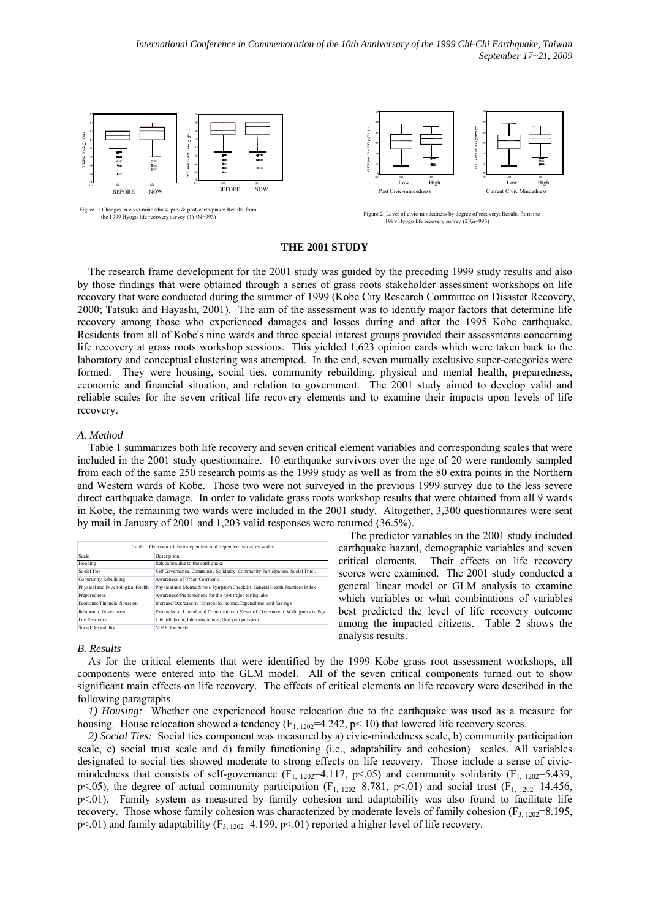*International Conference in Commemoration of the 10th Anniversary of the 1999 Chi-Chi Earthquake, Taiwan September 17~21, 2009* 



## **THE 2001 STUDY**

The research frame development for the 2001 study was guided by the preceding 1999 study results and also by those findings that were obtained through a series of grass roots stakeholder assessment workshops on life recovery that were conducted during the summer of 1999 (Kobe City Research Committee on Disaster Recovery, 2000; Tatsuki and Hayashi, 2001). The aim of the assessment was to identify major factors that determine life recovery among those who experienced damages and losses during and after the 1995 Kobe earthquake. Residents from all of Kobe's nine wards and three special interest groups provided their assessments concerning life recovery at grass roots workshop sessions. This yielded 1,623 opinion cards which were taken back to the laboratory and conceptual clustering was attempted. In the end, seven mutually exclusive super-categories were formed. They were housing, social ties, community rebuilding, physical and mental health, preparedness, economic and financial situation, and relation to government. The 2001 study aimed to develop valid and reliable scales for the seven critical life recovery elements and to examine their impacts upon levels of life recovery.

#### *A. Method*

Table 1 summarizes both life recovery and seven critical element variables and corresponding scales that were included in the 2001 study questionnaire. 10 earthquake survivors over the age of 20 were randomly sampled from each of the same 250 research points as the 1999 study as well as from the 80 extra points in the Northern and Western wards of Kobe. Those two were not surveyed in the previous 1999 survey due to the less severe direct earthquake damage. In order to validate grass roots workshop results that were obtained from all 9 wards in Kobe, the remaining two wards were included in the 2001 study. Altogether, 3,300 questionnaires were sent by mail in January of 2001 and 1,203 valid responses were returned (36.5%).

| Table 1. Overview of the independent and dependent variables scales |                                                                                  |  |  |  |  |
|---------------------------------------------------------------------|----------------------------------------------------------------------------------|--|--|--|--|
| Scale                                                               | Description                                                                      |  |  |  |  |
| Housing                                                             | Relocation due to the earthquake                                                 |  |  |  |  |
| Social Ties                                                         | Self-Governance, Community Solidarity, Community Participation, Social Trust,    |  |  |  |  |
| Community Rebuilding                                                | Awareness of Urban Commons                                                       |  |  |  |  |
| Physical and Psychological Health                                   | Physical and Mental Stress Symptom Checklist, General Health Practices Index     |  |  |  |  |
| Preparedness                                                        | Awareness/Preparedness for the next major earthquake                             |  |  |  |  |
| Economic/Financial Situation                                        | Increase/Decrease in Household Income, Expenditure, and Savings                  |  |  |  |  |
| Relation to Government                                              | Patemalistic. Liberal, and Communitarian Views of Government, Willingness to Pay |  |  |  |  |
| Life Recovery                                                       | Life fulfillment, Life satisfaction, One year prospect                           |  |  |  |  |
| Social Desirability                                                 | MMPI Lie Scale                                                                   |  |  |  |  |

The predictor variables in the 2001 study included earthquake hazard, demographic variables and seven critical elements. Their effects on life recovery scores were examined. The 2001 study conducted a general linear model or GLM analysis to examine which variables or what combinations of variables best predicted the level of life recovery outcome among the impacted citizens. Table 2 shows the analysis results.

### *B. Results*

As for the critical elements that were identified by the 1999 Kobe grass root assessment workshops, all components were entered into the GLM model. All of the seven critical components turned out to show significant main effects on life recovery. The effects of critical elements on life recovery were described in the following paragraphs.

*1) Housing:* Whether one experienced house relocation due to the earthquake was used as a measure for housing. House relocation showed a tendency  $(F_{1, 1202} = 4.242, p < 10)$  that lowered life recovery scores.

*2) Social Ties:* Social ties component was measured by a) civic-mindedness scale, b) community participation scale, c) social trust scale and d) family functioning (i.e., adaptability and cohesion) scales. All variables designated to social ties showed moderate to strong effects on life recovery. Those include a sense of civicmindedness that consists of self-governance ( $F_{1, 1202}$ =4.117, p<05) and community solidarity ( $F_{1, 1202}$ =5.439, p<.05), the degree of actual community participation (F<sub>1, 1202</sub>=8.781, p<.01) and social trust (F<sub>1, 1202</sub>=14.456, p<.01). Family system as measured by family cohesion and adaptability was also found to facilitate life recovery. Those whose family cohesion was characterized by moderate levels of family cohesion ( $F_{3, 1202}=8.195$ ,  $p<.01$ ) and family adaptability (F<sub>3, 1202</sub>=4.199,  $p<.01$ ) reported a higher level of life recovery.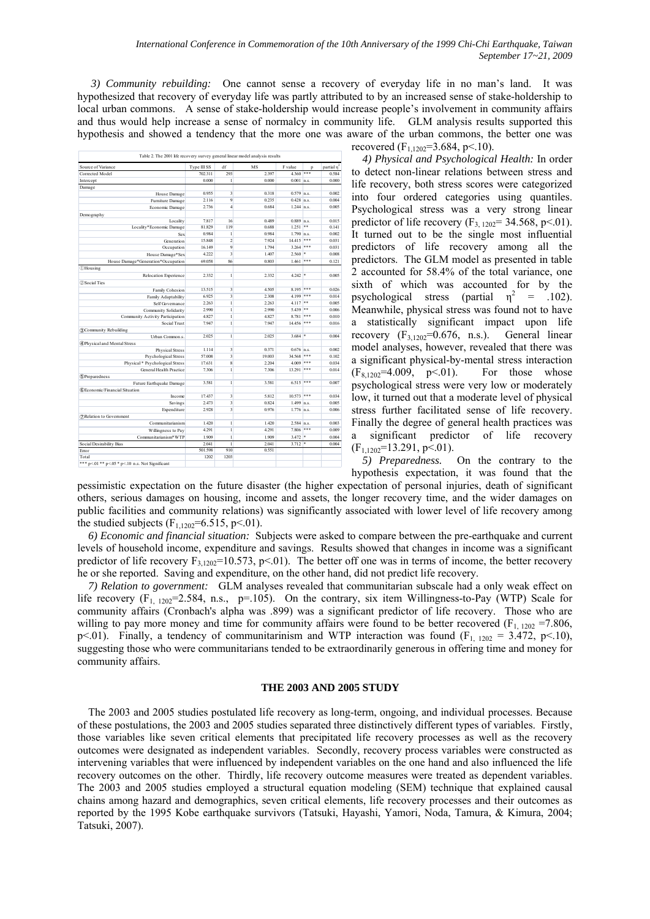*3) Community rebuilding:* One cannot sense a recovery of everyday life in no man's land. It was hypothesized that recovery of everyday life was partly attributed to by an increased sense of stake-holdership to local urban commons. A sense of stake-holdership would increase people's involvement in community affairs and thus would help increase a sense of normalcy in community life. GLM analysis results supported this hypothesis and showed a tendency that the more one was aware of the urban commons, the better one was

| Source of Variance                               | Type III SS | df                      | MS     | F value                | p  | partial n <sup>2</sup> |
|--------------------------------------------------|-------------|-------------------------|--------|------------------------|----|------------------------|
| Corrected Model                                  | 702.311     | 293                     | 2.397  | $4.360$ ***            |    | 0.584                  |
| Intercept                                        | 0.000       | $\mathbf{1}$            | 0.000  | $0.001$ n.s.           |    | 0.000                  |
| Damage                                           |             |                         |        |                        |    |                        |
| House Damage                                     | 0.955       | $\overline{3}$          | 0.318  | $0.579$ n.s.           |    | 0.002                  |
| Furniture Damage                                 | 2.116       | 9                       | 0.235  | $0.428$ n.s.           |    | 0.004                  |
| Economic Damage                                  | 2.736       | $\overline{4}$          | 0.684  | $1.244$ n.s.           |    | 0.005                  |
| Demography                                       |             |                         |        |                        |    |                        |
| Locality                                         | 7.817       | 16                      | 0.489  | $0.889$ n.s.           |    | 0.015                  |
| Locality*Economic Damage                         | 81.829      | 119                     | 0.688  | $1.251$ **             |    | 0.141                  |
| Sex                                              | 0.984       | 1                       | 0.984  | $1.790$ n.s.           |    | 0.002                  |
| Generation                                       | 15.848      | $\overline{2}$          | 7.924  | $14.415$ ***           |    | 0.031                  |
| Occupation                                       | 16.149      | $\overline{9}$          | 1.794  | $3.264$ ***            |    | 0.031                  |
| House Damage*Sex                                 | 4.222       | 3                       | 1.407  | 2.560                  | ×  | 0.008                  |
| House Damage*Generation*Occupation               | 69.058      | 86                      | 0.803  | $1.461$ ***            |    | 0.121                  |
| <b><i>DHousing</i></b>                           |             |                         |        |                        |    |                        |
| Relocation Experience                            | 2.332       | 1                       | 2.332  | 4.242                  | \$ | 0.005                  |
| 2 Social Ties                                    |             |                         |        |                        |    |                        |
| Family Cohesion                                  | 13.515      | $\overline{3}$          | 4.505  | $8.195$ ***            |    | 0.026                  |
|                                                  | 6.925       | $\overline{3}$          | 2.308  | $4199$ ***             |    | 0.014                  |
| Family Adaptability<br>Self Governance           | 2.263       | $\mathbf{1}$            | 2.263  | $4.117$ **             |    | 0.005                  |
|                                                  | 2.990       | $\mathbf{1}$            | 2.990  | $5.439$ **             |    | 0.006                  |
| Community Solidarity                             | 4.827       | $\mathbf{1}$            | 4827   | $8.781$ ***            |    | 0.010                  |
| Community Activity Participation<br>Social Trust | 7.947       | $\mathbf{1}$            | 7.947  | $14.456$ ***           |    | 0.016                  |
|                                                  |             |                         |        |                        |    |                        |
| 3)Community Rebuilding<br>Urban Common s         | 2.025       | $\mathbf{1}$            | 2.025  | $3.684$ *              |    | 0.004                  |
| 4 Physical and Mental Stress                     |             |                         |        |                        |    |                        |
|                                                  | 1.114       | 3                       | 0.371  | $0.676$ n.s.           |    | 0.002                  |
| <b>Physical Stress</b><br>Psychological Stress   | 57.008      | $\overline{3}$          | 19.003 | $34.568$ ***           |    | 0.102                  |
| Physical * Psychological Stress                  | 17.631      | 8                       | 2.204  | $4.009$ <sup>***</sup> |    | 0.034                  |
| General Health Practice                          | 7.306       | $\mathbf{1}$            | 7.306  | $13.291$ ***           |    | 0.014                  |
| 5 Preparedness                                   |             |                         |        |                        |    |                        |
| Future Earthquake Damage                         | 3.581       | $\mathbf{1}$            | 3.581  | $6.515$ ***            |    | 0.007                  |
| 6 Economic/Financial Situation                   |             |                         |        |                        |    |                        |
| Income                                           | 17.437      | 3                       | 5.812  | $10.573$ ***           |    | 0.034                  |
| Savings                                          | 2.473       | $\overline{\mathbf{3}}$ | 0.824  | $1.499$ n.s.           |    | 0.005                  |
| Expenditure                                      | 2.928       | $\overline{\mathbf{3}}$ | 0.976  | $1.776$ n.s.           |    | 0.006                  |
| (7) Relation to Government                       |             |                         |        |                        |    |                        |
| Communitarianism                                 | 1.420       | $\mathbf{1}$            | 1.420  | $2.584$ n.s.           |    | 0.003                  |
| Willingness to Pay                               | 4.291       | $\mathbf{1}$            | 4.291  | $7.806$ ***            |    | 0.009                  |
| Communitarianism*WTP                             | 1.909       | $\mathbf{1}$            | 1.909  | $3.472$ *              |    | 0.004                  |
| Social Desirability Bias                         | 2.041       | $\mathbf{1}$            | 2.041  | $3.712$ *              |    | 0.004                  |
| Error                                            | 501.598     | 910                     | 0.551  |                        |    |                        |
|                                                  | 1202        |                         |        |                        |    |                        |
| Total                                            |             | 1203                    |        |                        |    |                        |

recovered  $(F_{1,1202}=3.684, p<.10)$ .

*4) Physical and Psychological Health:* In order to detect non-linear relations between stress and life recovery, both stress scores were categorized into four ordered categories using quantiles. Psychological stress was a very strong linear predictor of life recovery  $(F_{3, 1202} = 34.568, p < 01)$ . It turned out to be the single most influential predictors of life recovery among all the predictors. The GLM model as presented in table 2 accounted for 58.4% of the total variance, one sixth of which was accounted for by the psychological stress (partial  $\eta^2$  = .102). Meanwhile, physical stress was found not to have a statistically significant impact upon life recovery  $(F_{3,1202}=0.676, n.s.).$  General linear model analyses, however, revealed that there was a significant physical-by-mental stress interaction  $(F_{8.1202} = 4.009, p \le 01)$ . For those whose psychological stress were very low or moderately low, it turned out that a moderate level of physical stress further facilitated sense of life recovery. Finally the degree of general health practices was a significant predictor of life recovery  $(F<sub>1.1202</sub>=13.291, p<.01).$ 

*5) Preparedness.* On the contrary to the hypothesis expectation, it was found that the

pessimistic expectation on the future disaster (the higher expectation of personal injuries, death of significant others, serious damages on housing, income and assets, the longer recovery time, and the wider damages on public facilities and community relations) was significantly associated with lower level of life recovery among the studied subjects ( $F_{1,1202}$ =6.515, p<.01).

*6) Economic and financial situation:* Subjects were asked to compare between the pre-earthquake and current levels of household income, expenditure and savings. Results showed that changes in income was a significant predictor of life recovery  $F_{3,1202}=10.573$ , p<01). The better off one was in terms of income, the better recovery he or she reported. Saving and expenditure, on the other hand, did not predict life recovery.

*7) Relation to government:* GLM analyses revealed that communitarian subscale had a only weak effect on life recovery  $(F_{1, 1202} = 2.584, n.s., p = .105)$ . On the contrary, six item Willingness-to-Pay (WTP) Scale for community affairs (Cronbach's alpha was .899) was a significant predictor of life recovery. Those who are willing to pay more money and time for community affairs were found to be better recovered  $(F<sub>1, 1202</sub> = 7.806)$ , p<.01). Finally, a tendency of communitarinism and WTP interaction was found (F<sub>1, 1202</sub> = 3.472, p<.10), suggesting those who were communitarians tended to be extraordinarily generous in offering time and money for community affairs.

# **THE 2003 AND 2005 STUDY**

The 2003 and 2005 studies postulated life recovery as long-term, ongoing, and individual processes. Because of these postulations, the 2003 and 2005 studies separated three distinctively different types of variables. Firstly, those variables like seven critical elements that precipitated life recovery processes as well as the recovery outcomes were designated as independent variables. Secondly, recovery process variables were constructed as intervening variables that were influenced by independent variables on the one hand and also influenced the life recovery outcomes on the other. Thirdly, life recovery outcome measures were treated as dependent variables. The 2003 and 2005 studies employed a structural equation modeling (SEM) technique that explained causal chains among hazard and demographics, seven critical elements, life recovery processes and their outcomes as reported by the 1995 Kobe earthquake survivors (Tatsuki, Hayashi, Yamori, Noda, Tamura, & Kimura, 2004; Tatsuki, 2007).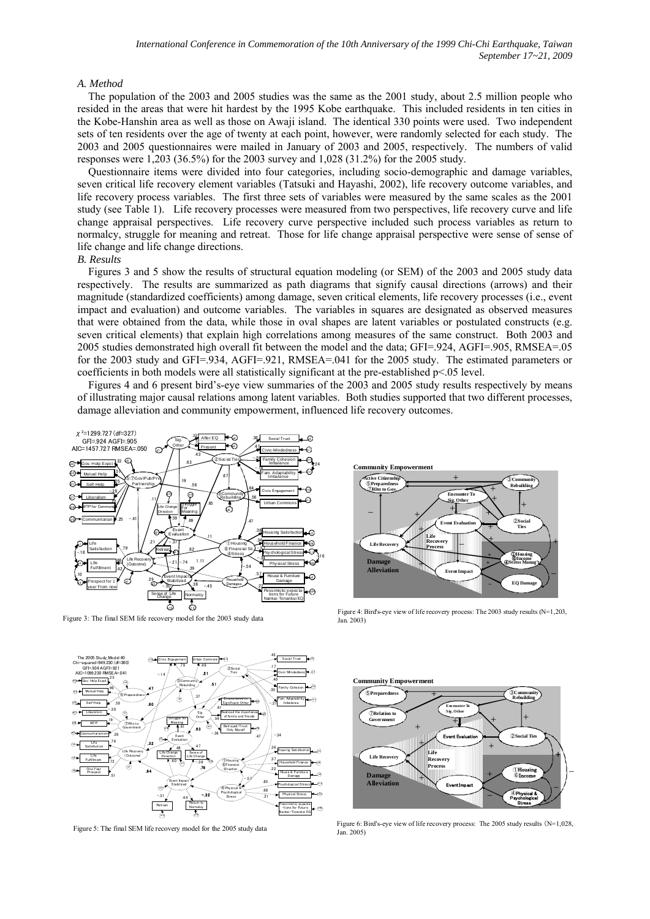#### *A. Method*

The population of the 2003 and 2005 studies was the same as the 2001 study, about 2.5 million people who resided in the areas that were hit hardest by the 1995 Kobe earthquake. This included residents in ten cities in the Kobe-Hanshin area as well as those on Awaji island. The identical 330 points were used. Two independent sets of ten residents over the age of twenty at each point, however, were randomly selected for each study. The 2003 and 2005 questionnaires were mailed in January of 2003 and 2005, respectively. The numbers of valid responses were 1,203 (36.5%) for the 2003 survey and 1,028 (31.2%) for the 2005 study.

Questionnaire items were divided into four categories, including socio-demographic and damage variables, seven critical life recovery element variables (Tatsuki and Hayashi, 2002), life recovery outcome variables, and life recovery process variables. The first three sets of variables were measured by the same scales as the 2001 study (see Table 1). Life recovery processes were measured from two perspectives, life recovery curve and life change appraisal perspectives. Life recovery curve perspective included such process variables as return to normalcy, struggle for meaning and retreat. Those for life change appraisal perspective were sense of sense of life change and life change directions.

#### *B. Results*

Figures 3 and 5 show the results of structural equation modeling (or SEM) of the 2003 and 2005 study data respectively. The results are summarized as path diagrams that signify causal directions (arrows) and their magnitude (standardized coefficients) among damage, seven critical elements, life recovery processes (i.e., event impact and evaluation) and outcome variables. The variables in squares are designated as observed measures that were obtained from the data, while those in oval shapes are latent variables or postulated constructs (e.g. seven critical elements) that explain high correlations among measures of the same construct. Both 2003 and 2005 studies demonstrated high overall fit between the model and the data; GFI=.924, AGFI=.905, RMSEA=.05 for the 2003 study and GFI=.934, AGFI=.921, RMSEA=.041 for the 2005 study. The estimated parameters or coefficients in both models were all statistically significant at the pre-established p<.05 level.

Figures 4 and 6 present bird's-eye view summaries of the 2003 and 2005 study results respectively by means of illustrating major causal relations among latent variables. Both studies supported that two different processes, damage alleviation and community empowerment, influenced life recovery outcomes.



Figure 3: The final SEM life recovery model for the 2003 study data



Figure 4: Bird's-eye view of life recovery process: The 2003 study results (N=1,203, Jan. 2003)



Figure 5: The final SEM life recovery model for the 2005 study data



Figure 6: Bird's-eye view of life recovery process: The 2005 study results (N=1,028, Jan. 2005)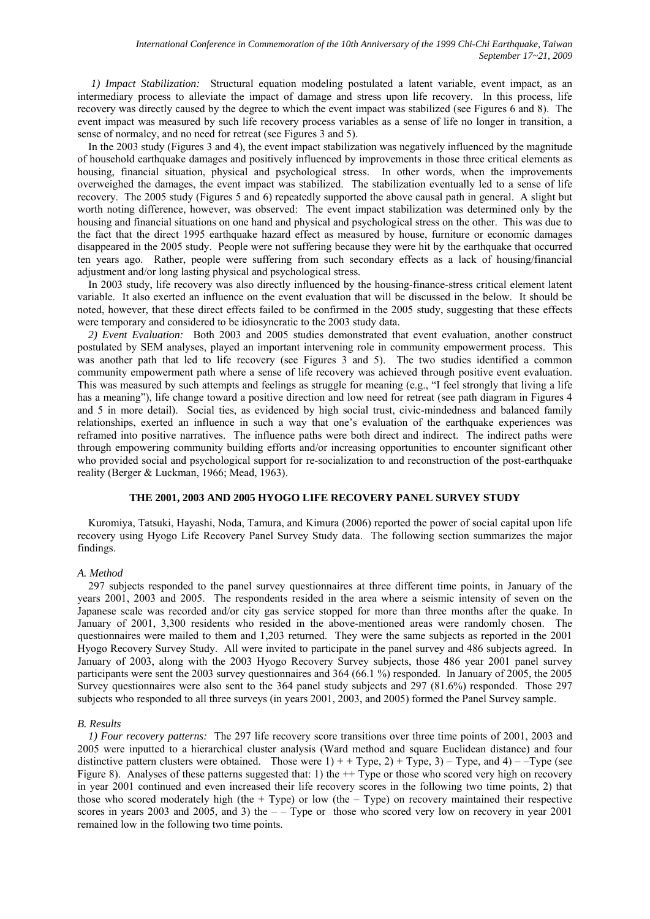*1) Impact Stabilization:* Structural equation modeling postulated a latent variable, event impact, as an intermediary process to alleviate the impact of damage and stress upon life recovery. In this process, life recovery was directly caused by the degree to which the event impact was stabilized (see Figures 6 and 8). The event impact was measured by such life recovery process variables as a sense of life no longer in transition, a sense of normalcy, and no need for retreat (see Figures 3 and 5).

In the 2003 study (Figures 3 and 4), the event impact stabilization was negatively influenced by the magnitude of household earthquake damages and positively influenced by improvements in those three critical elements as housing, financial situation, physical and psychological stress. In other words, when the improvements overweighed the damages, the event impact was stabilized. The stabilization eventually led to a sense of life recovery. The 2005 study (Figures 5 and 6) repeatedly supported the above causal path in general. A slight but worth noting difference, however, was observed: The event impact stabilization was determined only by the housing and financial situations on one hand and physical and psychological stress on the other. This was due to the fact that the direct 1995 earthquake hazard effect as measured by house, furniture or economic damages disappeared in the 2005 study. People were not suffering because they were hit by the earthquake that occurred ten years ago. Rather, people were suffering from such secondary effects as a lack of housing/financial adjustment and/or long lasting physical and psychological stress.

In 2003 study, life recovery was also directly influenced by the housing-finance-stress critical element latent variable. It also exerted an influence on the event evaluation that will be discussed in the below. It should be noted, however, that these direct effects failed to be confirmed in the 2005 study, suggesting that these effects were temporary and considered to be idiosyncratic to the 2003 study data.

*2) Event Evaluation:* Both 2003 and 2005 studies demonstrated that event evaluation, another construct postulated by SEM analyses, played an important intervening role in community empowerment process. This was another path that led to life recovery (see Figures 3 and 5). The two studies identified a common community empowerment path where a sense of life recovery was achieved through positive event evaluation. This was measured by such attempts and feelings as struggle for meaning (e.g., "I feel strongly that living a life has a meaning"), life change toward a positive direction and low need for retreat (see path diagram in Figures 4 and 5 in more detail). Social ties, as evidenced by high social trust, civic-mindedness and balanced family relationships, exerted an influence in such a way that one's evaluation of the earthquake experiences was reframed into positive narratives. The influence paths were both direct and indirect. The indirect paths were through empowering community building efforts and/or increasing opportunities to encounter significant other who provided social and psychological support for re-socialization to and reconstruction of the post-earthquake reality (Berger & Luckman, 1966; Mead, 1963).

## **THE 2001, 2003 AND 2005 HYOGO LIFE RECOVERY PANEL SURVEY STUDY**

Kuromiya, Tatsuki, Hayashi, Noda, Tamura, and Kimura (2006) reported the power of social capital upon life recovery using Hyogo Life Recovery Panel Survey Study data. The following section summarizes the major findings.

# *A. Method*

297 subjects responded to the panel survey questionnaires at three different time points, in January of the years 2001, 2003 and 2005. The respondents resided in the area where a seismic intensity of seven on the Japanese scale was recorded and/or city gas service stopped for more than three months after the quake. In January of 2001, 3,300 residents who resided in the above-mentioned areas were randomly chosen. The questionnaires were mailed to them and 1,203 returned. They were the same subjects as reported in the 2001 Hyogo Recovery Survey Study. All were invited to participate in the panel survey and 486 subjects agreed. In January of 2003, along with the 2003 Hyogo Recovery Survey subjects, those 486 year 2001 panel survey participants were sent the 2003 survey questionnaires and 364 (66.1 %) responded. In January of 2005, the 2005 Survey questionnaires were also sent to the 364 panel study subjects and 297 (81.6%) responded. Those 297 subjects who responded to all three surveys (in years 2001, 2003, and 2005) formed the Panel Survey sample.

# *B. Results*

*1) Four recovery patterns:* The 297 life recovery score transitions over three time points of 2001, 2003 and 2005 were inputted to a hierarchical cluster analysis (Ward method and square Euclidean distance) and four distinctive pattern clusters were obtained. Those were  $1$ ) + + Type, 2) + Type, 3) – Type, and 4) – – Type (see Figure 8). Analyses of these patterns suggested that: 1) the  $++$  Type or those who scored very high on recovery in year 2001 continued and even increased their life recovery scores in the following two time points, 2) that those who scored moderately high (the  $+$  Type) or low (the  $-$  Type) on recovery maintained their respective scores in years 2003 and 2005, and 3) the  $-$  – Type or those who scored very low on recovery in year 2001 remained low in the following two time points.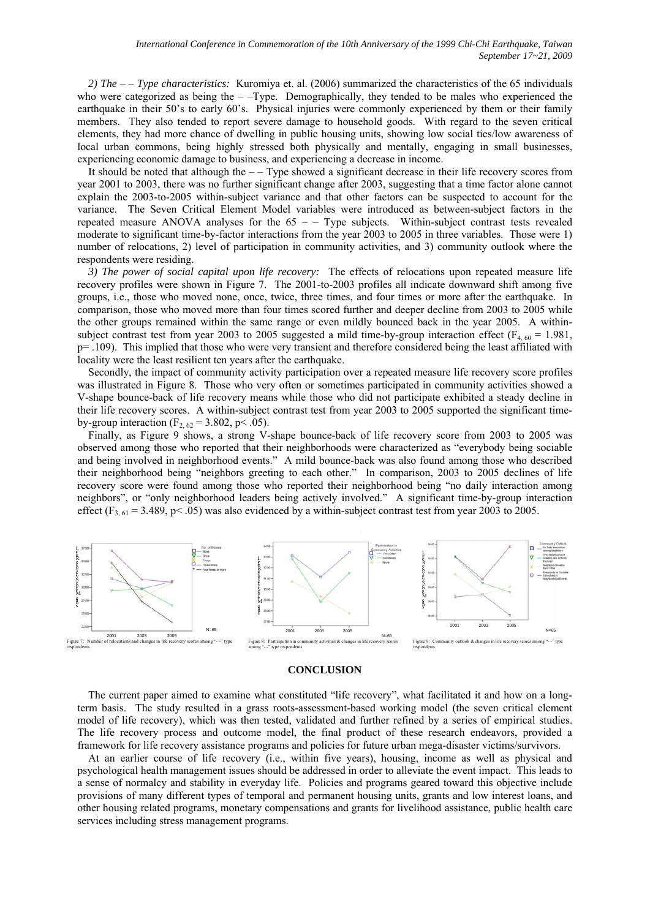*2) The* – – *Type characteristics:* Kuromiya et. al. (2006) summarized the characteristics of the 65 individuals who were categorized as being the  $-$ -Type. Demographically, they tended to be males who experienced the earthquake in their 50's to early 60's. Physical injuries were commonly experienced by them or their family members. They also tended to report severe damage to household goods. With regard to the seven critical elements, they had more chance of dwelling in public housing units, showing low social ties/low awareness of local urban commons, being highly stressed both physically and mentally, engaging in small businesses, experiencing economic damage to business, and experiencing a decrease in income.

It should be noted that although the – – Type showed a significant decrease in their life recovery scores from year 2001 to 2003, there was no further significant change after 2003, suggesting that a time factor alone cannot explain the 2003-to-2005 within-subject variance and that other factors can be suspected to account for the variance. The Seven Critical Element Model variables were introduced as between-subject factors in the repeated measure ANOVA analyses for the  $65 -$  Type subjects. Within-subject contrast tests revealed moderate to significant time-by-factor interactions from the year 2003 to 2005 in three variables. Those were 1) number of relocations, 2) level of participation in community activities, and 3) community outlook where the respondents were residing.

*3) The power of social capital upon life recovery:* The effects of relocations upon repeated measure life recovery profiles were shown in Figure 7. The 2001-to-2003 profiles all indicate downward shift among five groups, i.e., those who moved none, once, twice, three times, and four times or more after the earthquake. In comparison, those who moved more than four times scored further and deeper decline from 2003 to 2005 while the other groups remained within the same range or even mildly bounced back in the year 2005. A withinsubject contrast test from year 2003 to 2005 suggested a mild time-by-group interaction effect ( $F_{4.60}$  = 1.981,  $p=$  .109). This implied that those who were very transient and therefore considered being the least affiliated with locality were the least resilient ten years after the earthquake.

Secondly, the impact of community activity participation over a repeated measure life recovery score profiles was illustrated in Figure 8. Those who very often or sometimes participated in community activities showed a V-shape bounce-back of life recovery means while those who did not participate exhibited a steady decline in their life recovery scores. A within-subject contrast test from year 2003 to 2005 supported the significant timeby-group interaction ( $F_{2, 62} = 3.802$ , p< .05).

Finally, as Figure 9 shows, a strong V-shape bounce-back of life recovery score from 2003 to 2005 was observed among those who reported that their neighborhoods were characterized as "everybody being sociable and being involved in neighborhood events." A mild bounce-back was also found among those who described their neighborhood being "neighbors greeting to each other." In comparison, 2003 to 2005 declines of life recovery score were found among those who reported their neighborhood being "no daily interaction among neighbors", or "only neighborhood leaders being actively involved." A significant time-by-group interaction effect ( $F_{3, 61}$  = 3.489, p< .05) was also evidenced by a within-subject contrast test from year 2003 to 2005.



#### **CONCLUSION**

The current paper aimed to examine what constituted "life recovery", what facilitated it and how on a longterm basis. The study resulted in a grass roots-assessment-based working model (the seven critical element model of life recovery), which was then tested, validated and further refined by a series of empirical studies. The life recovery process and outcome model, the final product of these research endeavors, provided a framework for life recovery assistance programs and policies for future urban mega-disaster victims/survivors.

At an earlier course of life recovery (i.e., within five years), housing, income as well as physical and psychological health management issues should be addressed in order to alleviate the event impact. This leads to a sense of normalcy and stability in everyday life. Policies and programs geared toward this objective include provisions of many different types of temporal and permanent housing units, grants and low interest loans, and other housing related programs, monetary compensations and grants for livelihood assistance, public health care services including stress management programs.